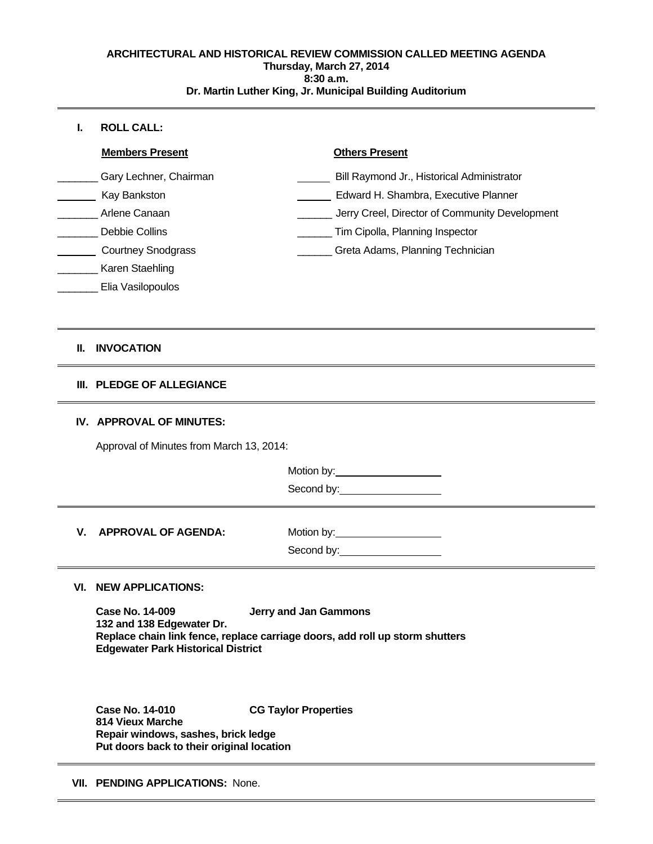#### **ARCHITECTURAL AND HISTORICAL REVIEW COMMISSION CALLED MEETING AGENDA Thursday, March 27, 2014 8:30 a.m. Dr. Martin Luther King, Jr. Municipal Building Auditorium**

## **I. ROLL CALL:**

 $\overline{a}$ 

Elia Vasilopoulos

# **II. INVOCATION**

## **III. PLEDGE OF ALLEGIANCE**

## **IV. APPROVAL OF MINUTES:**

Approval of Minutes from March 13, 2014:

Motion by: 1997

Second by:<br>
<u>Second</u> by:

**V.** APPROVAL OF AGENDA: Motion by: Motion by: Second by:

# **VI. NEW APPLICATIONS:**

**Case No. 14-009 Jerry and Jan Gammons 132 and 138 Edgewater Dr. Replace chain link fence, replace carriage doors, add roll up storm shutters Edgewater Park Historical District**

**Case No. 14-010 CG Taylor Properties 814 Vieux Marche Repair windows, sashes, brick ledge Put doors back to their original location**

**VII. PENDING APPLICATIONS:**None.